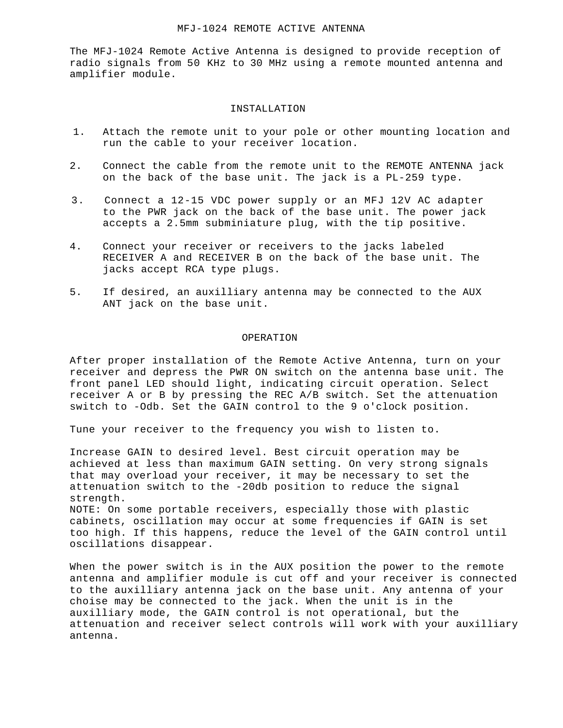## MFJ-1024 REMOTE ACTIVE ANTENNA

The MFJ-1024 Remote Active Antenna is designed to provide reception of radio signals from 50 KHz to 30 MHz using a remote mounted antenna and amplifier module.

## INSTALLATION

- 1. Attach the remote unit to your pole or other mounting location and run the cable to your receiver location.
- 2. Connect the cable from the remote unit to the REMOTE ANTENNA jack on the back of the base unit. The jack is a PL-259 type.
- 3. Connect a 12-15 VDC power supply or an MFJ 12V AC adapter to the PWR jack on the back of the base unit. The power jack accepts a 2.5mm subminiature plug, with the tip positive.
- 4. Connect your receiver or receivers to the jacks labeled RECEIVER A and RECEIVER B on the back of the base unit. The jacks accept RCA type plugs.
- 5. If desired, an auxilliary antenna may be connected to the AUX ANT jack on the base unit.

## OPERATION

After proper installation of the Remote Active Antenna, turn on your receiver and depress the PWR ON switch on the antenna base unit. The front panel LED should light, indicating circuit operation. Select receiver A or B by pressing the REC A/B switch. Set the attenuation switch to -Odb. Set the GAIN control to the 9 o'clock position.

Tune your receiver to the frequency you wish to listen to.

Increase GAIN to desired level. Best circuit operation may be achieved at less than maximum GAIN setting. On very strong signals that may overload your receiver, it may be necessary to set the attenuation switch to the -20db position to reduce the signal strength.

NOTE: On some portable receivers, especially those with plastic cabinets, oscillation may occur at some frequencies if GAIN is set too high. If this happens, reduce the level of the GAIN control until oscillations disappear.

When the power switch is in the AUX position the power to the remote antenna and amplifier module is cut off and your receiver is connected to the auxilliary antenna jack on the base unit. Any antenna of your choise may be connected to the jack. When the unit is in the auxilliary mode, the GAIN control is not operational, but the attenuation and receiver select controls will work with your auxilliary antenna.